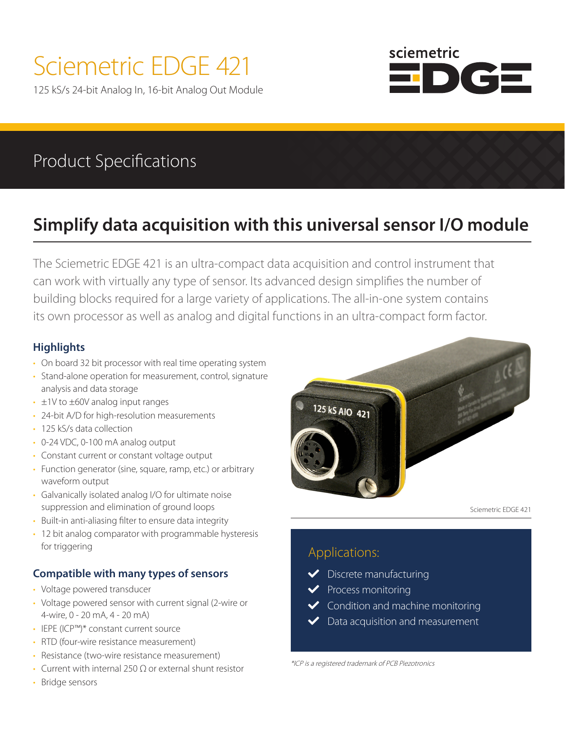# Sciemetric EDGE 421

125 kS/s 24-bit Analog In, 16-bit Analog Out Module



## Product Specifications

# **Simplify data acquisition with this universal sensor I/O module**

The Sciemetric EDGE 421 is an ultra-compact data acquisition and control instrument that can work with virtually any type of sensor. Its advanced design simplifies the number of building blocks required for a large variety of applications. The all-in-one system contains its own processor as well as analog and digital functions in an ultra-compact form factor.

### **Highlights**

- On board 32 bit processor with real time operating system
- Stand-alone operation for measurement, control, signature analysis and data storage
- ±1V to ±60V analog input ranges
- 24-bit A/D for high-resolution measurements
- 125 kS/s data collection
- 0-24 VDC, 0-100 mA analog output
- Constant current or constant voltage output
- Function generator (sine, square, ramp, etc.) or arbitrary waveform output
- Galvanically isolated analog I/O for ultimate noise suppression and elimination of ground loops
- Built-in anti-aliasing filter to ensure data integrity
- 12 bit analog comparator with programmable hysteresis for triggering

### **Compatible with many types of sensors**

- Voltage powered transducer
- Voltage powered sensor with current signal (2-wire or 4-wire, 0 - 20 mA, 4 - 20 mA)
- IEPE (ICP™)\* constant current source
- RTD (four-wire resistance measurement)
- Resistance (two-wire resistance measurement)
- Current with internal 250  $\Omega$  or external shunt resistor
- Bridge sensors



Sciemetric EDGE 421

### Applications:

- Discrete manufacturing
- $\blacktriangleright$  Process monitoring
- $\blacktriangleright$  Condition and machine monitoring
- Data acquisition and measurement

\*ICP is a registered trademark of PCB Piezotronics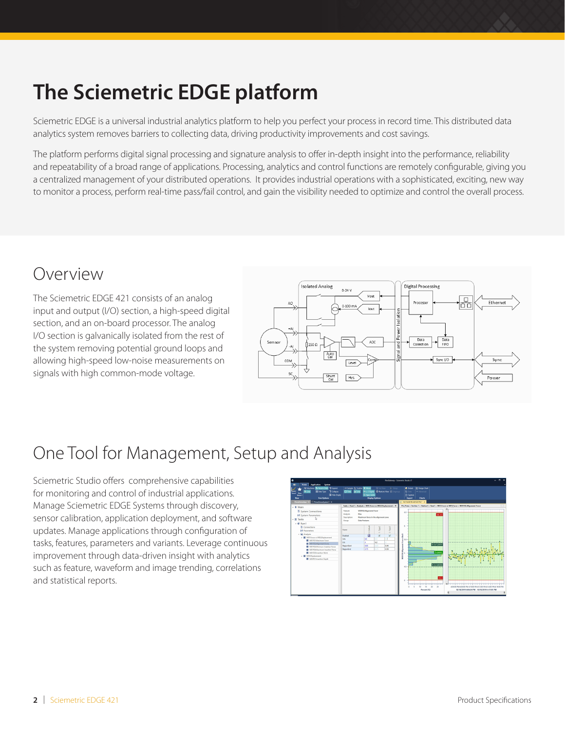# **The Sciemetric EDGE platform**

Sciemetric EDGE is a universal industrial analytics platform to help you perfect your process in record time. This distributed data analytics system removes barriers to collecting data, driving productivity improvements and cost savings.

The platform performs digital signal processing and signature analysis to offer in-depth insight into the performance, reliability and repeatability of a broad range of applications. Processing, analytics and control functions are remotely configurable, giving you a centralized management of your distributed operations. It provides industrial operations with a sophisticated, exciting, new way to monitor a process, perform real-time pass/fail control, and gain the visibility needed to optimize and control the overall process.

### Overview

The Sciemetric EDGE 421 consists of an analog input and output (I/O) section, a high-speed digital section, and an on-board processor. The analog I/O section is galvanically isolated from the rest of the system removing potential ground loops and allowing high-speed low-noise measurements on signals with high common-mode voltage.



# One Tool for Management, Setup and Analysis

Sciemetric Studio offers comprehensive capabilities for monitoring and control of industrial applications. Manage Sciemetric EDGE Systems through discovery, sensor calibration, application deployment, and software updates. Manage applications through configuration of tasks, features, parameters and variants. Leverage continuous improvement through data-driven insight with analytics such as feature, waveform and image trending, correlations and statistical reports.

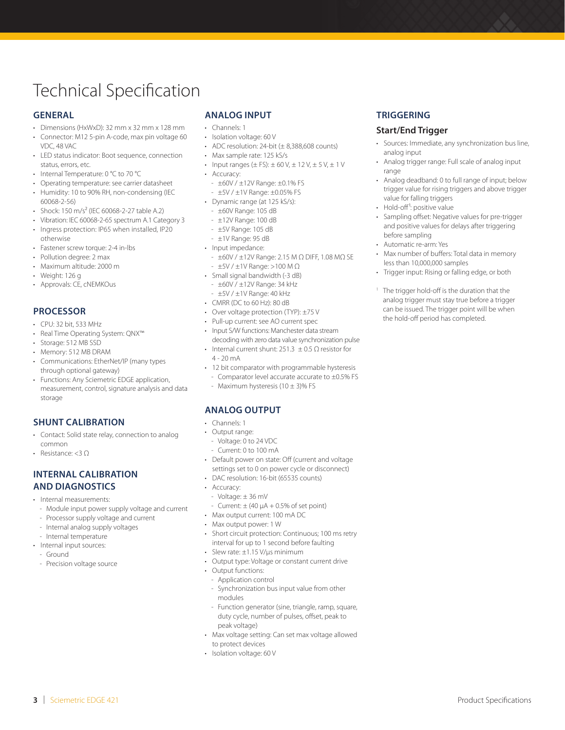### Technical Specification

#### **GENERAL**

- Dimensions (HxWxD): 32 mm x 32 mm x 128 mm
- Connector: M12 5-pin A-code, max pin voltage 60 VDC, 48 VAC
- LED status indicator: Boot sequence, connection status, errors, etc.
- Internal Temperature: 0 °C to 70 °C
- Operating temperature: see carrier datasheet
- Humidity: 10 to 90% RH, non-condensing (IEC 60068-2-56)
- Shock: 150 m/s<sup>2</sup> (IEC 60068-2-27 table A.2)
- Vibration: IEC 60068-2-65 spectrum A.1 Category 3 • Ingress protection: IP65 when installed, IP20
- otherwise
- Fastener screw torque: 2-4 in-lbs
- Pollution degree: 2 max
- Maximum altitude: 2000 m
- Weight: 126 g
- Approvals: CE, cNEMKOus

#### **PROCESSOR**

- CPU: 32 bit, 533 MHz
- Real Time Operating System: QNX™
- Storage: 512 MB SSD
- Memory: 512 MB DRAM
- Communications: EtherNet/IP (many types through optional gateway)
- Functions: Any Sciemetric EDGE application, measurement, control, signature analysis and data storage

#### **SHUNT CALIBRATION**

- Contact: Solid state relay, connection to analog common
- Resistance: <3 Ω

#### **INTERNAL CALIBRATION AND DIAGNOSTICS**

- Internal measurements:
- Module input power supply voltage and current
- Processor supply voltage and current
- Internal analog supply voltages
- Internal temperature
- Internal input sources:
- Ground
- Precision voltage source

#### **ANALOG INPUT**

- Channels: 1
- Isolation voltage: 60 V
- ADC resolution: 24-bit  $(\pm 8,388,608 \text{ counts})$
- Max sample rate: 125 kS/s
- Input ranges  $(\pm$  FS):  $\pm$  60 V,  $\pm$  12 V,  $\pm$  5 V,  $\pm$  1 V
- Accuracy:
- ±60V / ±12V Range: ±0.1% FS
- ±5V / ±1V Range: ±0.05% FS
- Dynamic range (at 125 kS/s):
	- ±60V Range: 105 dB
	- ±12V Range: 100 dB
	- ±5V Range: 105 dB
- ±1V Range: 95 dB
- Input impedance:
	- ±60V / ±12V Range: 2.15 M Ω DIFF, 1.08 MΩ SE - ±5V / ±1V Range: >100 M Ω
- Small signal bandwidth (-3 dB)
- ±60V / ±12V Range: 34 kHz - ±5V / ±1V Range: 40 kHz
- CMRR (DC to 60 Hz): 80 dB
- Over voltage protection (TYP): ±75 V
- Pull-up current: see AO current spec
- Input S/W functions: Manchester data stream decoding with zero data value synchronization pulse
- Internal current shunt:  $251.3 \pm 0.5$   $\Omega$  resistor for 4 - 20 mA
- 12 bit comparator with programmable hysteresis
	- Comparator level accurate accurate to ±0.5% FS
	- Maximum hysteresis  $(10 \pm 3)\%$  FS

#### **ANALOG OUTPUT**

- Channels: 1
- Output range:
- Voltage: 0 to 24 VDC
- Current: 0 to 100 mA
- Default power on state: Off (current and voltage settings set to 0 on power cycle or disconnect)
- DAC resolution: 16-bit (65535 counts)
- Accuracy:
- Voltage: ± 36 mV
- Current:  $\pm$  (40  $\mu$ A + 0.5% of set point)
- Max output current: 100 mA DC
- Max output power: 1 W
- Short circuit protection: Continuous; 100 ms retry interval for up to 1 second before faulting
- Slew rate: ±1.15 V/µs minimum
- Output type: Voltage or constant current drive
- Output functions:
	- Application control
- Synchronization bus input value from other modules
- Function generator (sine, triangle, ramp, square, duty cycle, number of pulses, offset, peak to peak voltage)
- Max voltage setting: Can set max voltage allowed to protect devices
- Isolation voltage: 60 V

#### **TRIGGERING**

#### **Start/End Trigger**

- Sources: Immediate, any synchronization bus line, analog input
- Analog trigger range: Full scale of analog input range
- Analog deadband: 0 to full range of input; below trigger value for rising triggers and above trigger value for falling triggers
- $\cdot$  Hold-off<sup>1</sup>: positive value
- Sampling offset: Negative values for pre-trigger and positive values for delays after triggering before sampling
- Automatic re-arm: Yes
- Max number of buffers: Total data in memory less than 10,000,000 samples
- Trigger input: Rising or falling edge, or both
- <sup>1</sup> The trigger hold-off is the duration that the analog trigger must stay true before a trigger can be issued. The trigger point will be when the hold-off period has completed.